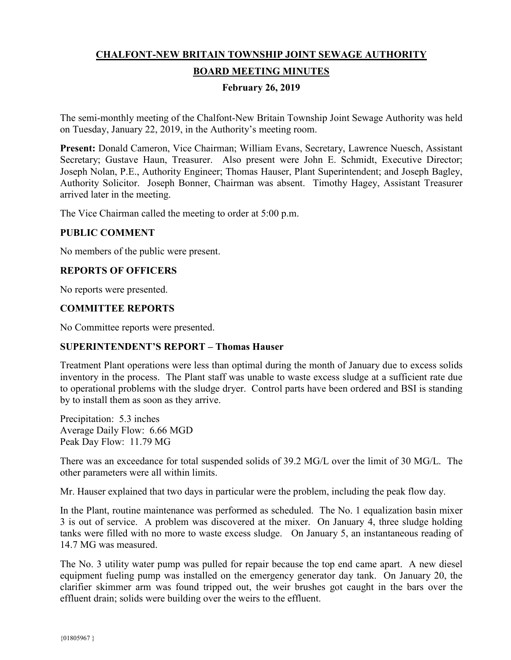# **CHALFONT-NEW BRITAIN TOWNSHIP JOINT SEWAGE AUTHORITY BOARD MEETING MINUTES**

## **February 26, 2019**

The semi-monthly meeting of the Chalfont-New Britain Township Joint Sewage Authority was held on Tuesday, January 22, 2019, in the Authority's meeting room.

**Present:** Donald Cameron, Vice Chairman; William Evans, Secretary, Lawrence Nuesch, Assistant Secretary; Gustave Haun, Treasurer. Also present were John E. Schmidt, Executive Director; Joseph Nolan, P.E., Authority Engineer; Thomas Hauser, Plant Superintendent; and Joseph Bagley, Authority Solicitor. Joseph Bonner, Chairman was absent. Timothy Hagey, Assistant Treasurer arrived later in the meeting.

The Vice Chairman called the meeting to order at 5:00 p.m.

#### **PUBLIC COMMENT**

No members of the public were present.

## **REPORTS OF OFFICERS**

No reports were presented.

#### **COMMITTEE REPORTS**

No Committee reports were presented.

#### **SUPERINTENDENT'S REPORT – Thomas Hauser**

Treatment Plant operations were less than optimal during the month of January due to excess solids inventory in the process. The Plant staff was unable to waste excess sludge at a sufficient rate due to operational problems with the sludge dryer. Control parts have been ordered and BSI is standing by to install them as soon as they arrive.

Precipitation: 5.3 inches Average Daily Flow: 6.66 MGD Peak Day Flow: 11.79 MG

There was an exceedance for total suspended solids of 39.2 MG/L over the limit of 30 MG/L. The other parameters were all within limits.

Mr. Hauser explained that two days in particular were the problem, including the peak flow day.

In the Plant, routine maintenance was performed as scheduled. The No. 1 equalization basin mixer 3 is out of service. A problem was discovered at the mixer. On January 4, three sludge holding tanks were filled with no more to waste excess sludge. On January 5, an instantaneous reading of 14.7 MG was measured.

The No. 3 utility water pump was pulled for repair because the top end came apart. A new diesel equipment fueling pump was installed on the emergency generator day tank. On January 20, the clarifier skimmer arm was found tripped out, the weir brushes got caught in the bars over the effluent drain; solids were building over the weirs to the effluent.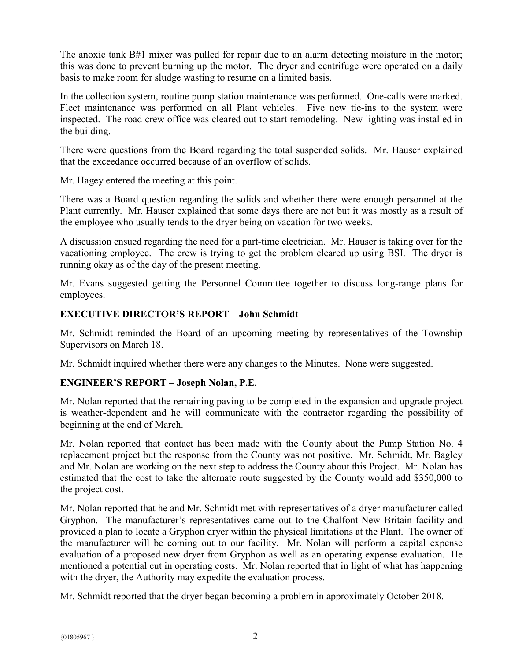The anoxic tank B#1 mixer was pulled for repair due to an alarm detecting moisture in the motor; this was done to prevent burning up the motor. The dryer and centrifuge were operated on a daily basis to make room for sludge wasting to resume on a limited basis.

In the collection system, routine pump station maintenance was performed. One-calls were marked. Fleet maintenance was performed on all Plant vehicles. Five new tie-ins to the system were inspected. The road crew office was cleared out to start remodeling. New lighting was installed in the building.

There were questions from the Board regarding the total suspended solids. Mr. Hauser explained that the exceedance occurred because of an overflow of solids.

Mr. Hagey entered the meeting at this point.

There was a Board question regarding the solids and whether there were enough personnel at the Plant currently. Mr. Hauser explained that some days there are not but it was mostly as a result of the employee who usually tends to the dryer being on vacation for two weeks.

A discussion ensued regarding the need for a part-time electrician. Mr. Hauser is taking over for the vacationing employee. The crew is trying to get the problem cleared up using BSI. The dryer is running okay as of the day of the present meeting.

Mr. Evans suggested getting the Personnel Committee together to discuss long-range plans for employees.

## **EXECUTIVE DIRECTOR'S REPORT – John Schmidt**

Mr. Schmidt reminded the Board of an upcoming meeting by representatives of the Township Supervisors on March 18.

Mr. Schmidt inquired whether there were any changes to the Minutes. None were suggested.

#### **ENGINEER'S REPORT – Joseph Nolan, P.E.**

Mr. Nolan reported that the remaining paving to be completed in the expansion and upgrade project is weather-dependent and he will communicate with the contractor regarding the possibility of beginning at the end of March.

Mr. Nolan reported that contact has been made with the County about the Pump Station No. 4 replacement project but the response from the County was not positive. Mr. Schmidt, Mr. Bagley and Mr. Nolan are working on the next step to address the County about this Project. Mr. Nolan has estimated that the cost to take the alternate route suggested by the County would add \$350,000 to the project cost.

Mr. Nolan reported that he and Mr. Schmidt met with representatives of a dryer manufacturer called Gryphon. The manufacturer's representatives came out to the Chalfont-New Britain facility and provided a plan to locate a Gryphon dryer within the physical limitations at the Plant. The owner of the manufacturer will be coming out to our facility. Mr. Nolan will perform a capital expense evaluation of a proposed new dryer from Gryphon as well as an operating expense evaluation. He mentioned a potential cut in operating costs. Mr. Nolan reported that in light of what has happening with the dryer, the Authority may expedite the evaluation process.

Mr. Schmidt reported that the dryer began becoming a problem in approximately October 2018.